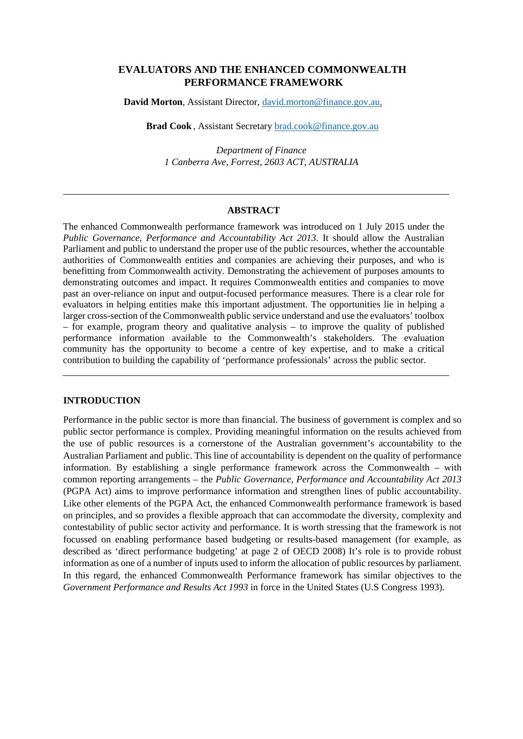# **EVALUATORS AND THE ENHANCED COMMONWEALTH PERFORMANCE FRAMEWORK**

**David Morton**, Assistant Director, [david.morton@finance.gov.au,](mailto:david.morton@finance.gov.au)

**Brad Cook** , Assistant Secretary [brad.cook@finance.gov.au](mailto:brad.cook@finance.gov.au)

*Department of Finance 1 Canberra Ave, Forrest, 2603 ACT, AUSTRALIA*

#### **ABSTRACT**

The enhanced Commonwealth performance framework was introduced on 1 July 2015 under the *Public Governance, Performance and Accountability Act 2013.* It should allow the Australian Parliament and public to understand the proper use of the public resources, whether the accountable authorities of Commonwealth entities and companies are achieving their purposes, and who is benefitting from Commonwealth activity. Demonstrating the achievement of purposes amounts to demonstrating outcomes and impact. It requires Commonwealth entities and companies to move past an over-reliance on input and output-focused performance measures. There is a clear role for evaluators in helping entities make this important adjustment. The opportunities lie in helping a larger cross-section of the Commonwealth public service understand and use the evaluators' toolbox – for example, program theory and qualitative analysis – to improve the quality of published performance information available to the Commonwealth's stakeholders. The evaluation community has the opportunity to become a centre of key expertise, and to make a critical contribution to building the capability of 'performance professionals' across the public sector.

#### **INTRODUCTION**

Performance in the public sector is more than financial. The business of government is complex and so public sector performance is complex. Providing meaningful information on the results achieved from the use of public resources is a cornerstone of the Australian government's accountability to the Australian Parliament and public. This line of accountability is dependent on the quality of performance information. By establishing a single performance framework across the Commonwealth – with common reporting arrangements – the *Public Governance, Performance and Accountability Act 2013* (PGPA Act) aims to improve performance information and strengthen lines of public accountability. Like other elements of the PGPA Act, the enhanced Commonwealth performance framework is based on principles, and so provides a flexible approach that can accommodate the diversity, complexity and contestability of public sector activity and performance. It is worth stressing that the framework is not focussed on enabling performance based budgeting or results-based management (for example, as described as 'direct performance budgeting' at page 2 of OECD 2008) It's role is to provide robust information as one of a number of inputs used to inform the allocation of public resources by parliament. In this regard, the enhanced Commonwealth Performance framework has similar objectives to the *Government Performance and Results Act 1993* in force in the United States (U.S Congress 1993).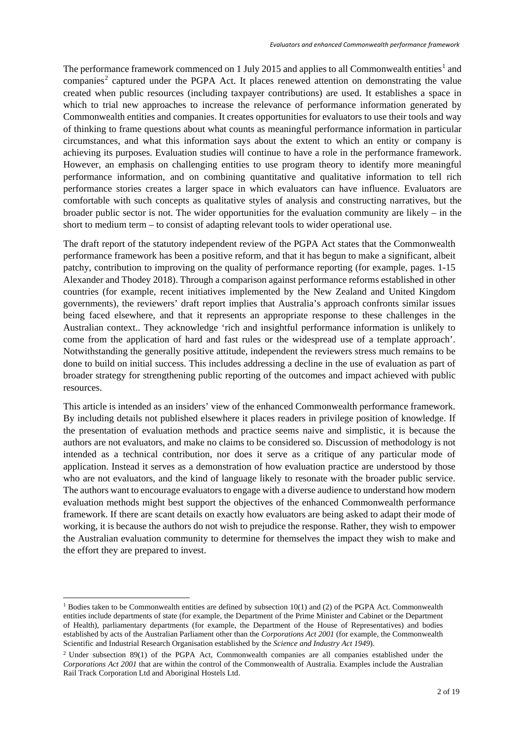The performance framework commenced on [1](#page-1-0) July 2015 and applies to all Commonwealth entities<sup>1</sup> and companies<sup>[2](#page-1-1)</sup> captured under the PGPA Act. It places renewed attention on demonstrating the value created when public resources (including taxpayer contributions) are used. It establishes a space in which to trial new approaches to increase the relevance of performance information generated by Commonwealth entities and companies. It creates opportunities for evaluators to use their tools and way of thinking to frame questions about what counts as meaningful performance information in particular circumstances, and what this information says about the extent to which an entity or company is achieving its purposes. Evaluation studies will continue to have a role in the performance framework. However, an emphasis on challenging entities to use program theory to identify more meaningful performance information, and on combining quantitative and qualitative information to tell rich performance stories creates a larger space in which evaluators can have influence. Evaluators are comfortable with such concepts as qualitative styles of analysis and constructing narratives, but the broader public sector is not. The wider opportunities for the evaluation community are likely – in the short to medium term – to consist of adapting relevant tools to wider operational use.

The draft report of the statutory independent review of the PGPA Act states that the Commonwealth performance framework has been a positive reform, and that it has begun to make a significant, albeit patchy, contribution to improving on the quality of performance reporting (for example, pages. 1-15 Alexander and Thodey 2018). Through a comparison against performance reforms established in other countries (for example, recent initiatives implemented by the New Zealand and United Kingdom governments), the reviewers' draft report implies that Australia's approach confronts similar issues being faced elsewhere, and that it represents an appropriate response to these challenges in the Australian context.. They acknowledge 'rich and insightful performance information is unlikely to come from the application of hard and fast rules or the widespread use of a template approach'. Notwithstanding the generally positive attitude, independent the reviewers stress much remains to be done to build on initial success. This includes addressing a decline in the use of evaluation as part of broader strategy for strengthening public reporting of the outcomes and impact achieved with public resources.

This article is intended as an insiders' view of the enhanced Commonwealth performance framework. By including details not published elsewhere it places readers in privilege position of knowledge. If the presentation of evaluation methods and practice seems naive and simplistic, it is because the authors are not evaluators, and make no claims to be considered so. Discussion of methodology is not intended as a technical contribution, nor does it serve as a critique of any particular mode of application. Instead it serves as a demonstration of how evaluation practice are understood by those who are not evaluators, and the kind of language likely to resonate with the broader public service. The authors want to encourage evaluators to engage with a diverse audience to understand how modern evaluation methods might best support the objectives of the enhanced Commonwealth performance framework. If there are scant details on exactly how evaluators are being asked to adapt their mode of working, it is because the authors do not wish to prejudice the response. Rather, they wish to empower the Australian evaluation community to determine for themselves the impact they wish to make and the effort they are prepared to invest.

<u>.</u>

<span id="page-1-0"></span><sup>&</sup>lt;sup>1</sup> Bodies taken to be Commonwealth entities are defined by subsection  $10(1)$  and (2) of the PGPA Act. Commonwealth entities include departments of state (for example, the Department of the Prime Minister and Cabinet or the Department of Health), parliamentary departments (for example, the Department of the House of Representatives) and bodies established by acts of the Australian Parliament other than the *Corporations Act 2001* (for example, the Commonwealth Scientific and Industrial Research Organisation established by the *Science and Industry Act 1949*).

<span id="page-1-1"></span><sup>2</sup> Under subsection 89(1) of the PGPA Act, Commonwealth companies are all companies established under the *Corporations Act 2001* that are within the control of the Commonwealth of Australia. Examples include the Australian Rail Track Corporation Ltd and Aboriginal Hostels Ltd.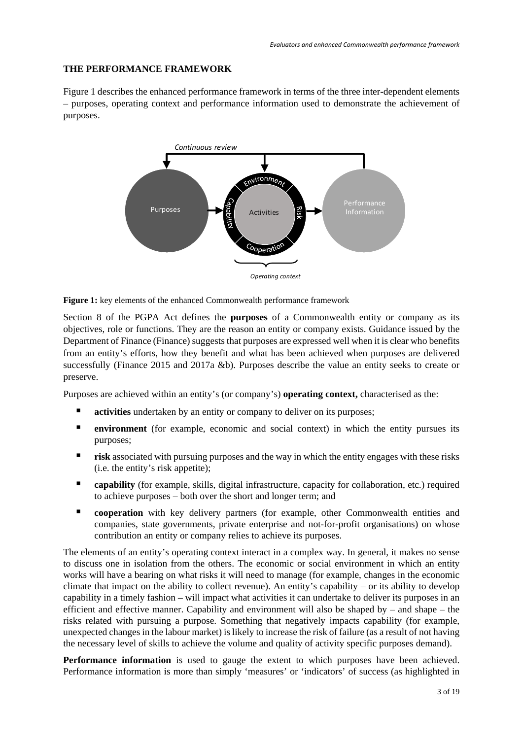#### **THE PERFORMANCE FRAMEWORK**

Figure 1 describes the enhanced performance framework in terms of the three inter-dependent elements – purposes, operating context and performance information used to demonstrate the achievement of purposes.



**Figure 1:** key elements of the enhanced Commonwealth performance framework

Section 8 of the PGPA Act defines the **purposes** of a Commonwealth entity or company as its objectives, role or functions. They are the reason an entity or company exists. Guidance issued by the Department of Finance (Finance) suggests that purposes are expressed well when it is clear who benefits from an entity's efforts, how they benefit and what has been achieved when purposes are delivered successfully (Finance 2015 and 2017a &b). Purposes describe the value an entity seeks to create or preserve.

Purposes are achieved within an entity's (or company's) **operating context,** characterised as the:

- **activities** undertaken by an entity or company to deliver on its purposes;
- **environment** (for example, economic and social context) in which the entity pursues its purposes;
- **risk** associated with pursuing purposes and the way in which the entity engages with these risks (i.e. the entity's risk appetite);
- **E** capability (for example, skills, digital infrastructure, capacity for collaboration, etc.) required to achieve purposes – both over the short and longer term; and
- **cooperation** with key delivery partners (for example, other Commonwealth entities and companies, state governments, private enterprise and not-for-profit organisations) on whose contribution an entity or company relies to achieve its purposes.

The elements of an entity's operating context interact in a complex way. In general, it makes no sense to discuss one in isolation from the others. The economic or social environment in which an entity works will have a bearing on what risks it will need to manage (for example, changes in the economic climate that impact on the ability to collect revenue). An entity's capability – or its ability to develop capability in a timely fashion – will impact what activities it can undertake to deliver its purposes in an efficient and effective manner. Capability and environment will also be shaped by – and shape – the risks related with pursuing a purpose. Something that negatively impacts capability (for example, unexpected changes in the labour market) is likely to increase the risk of failure (as a result of not having the necessary level of skills to achieve the volume and quality of activity specific purposes demand).

**Performance information** is used to gauge the extent to which purposes have been achieved. Performance information is more than simply 'measures' or 'indicators' of success (as highlighted in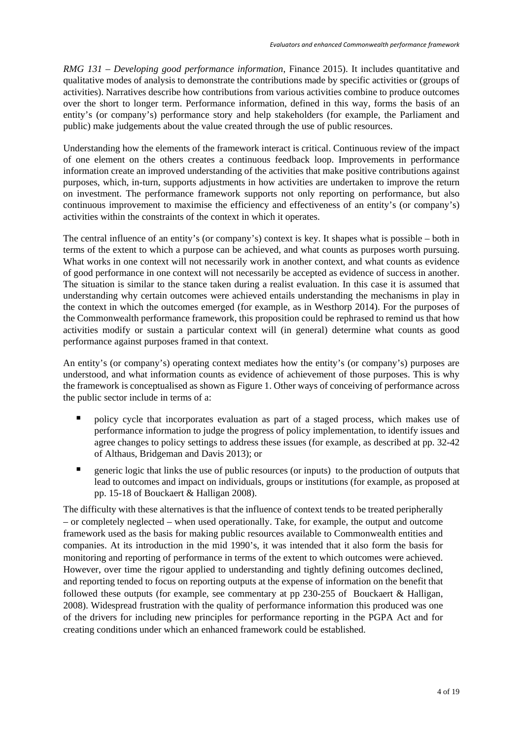*RMG 131 – Developing good performance information*, Finance 2015). It includes quantitative and qualitative modes of analysis to demonstrate the contributions made by specific activities or (groups of activities). Narratives describe how contributions from various activities combine to produce outcomes over the short to longer term. Performance information, defined in this way, forms the basis of an entity's (or company's) performance story and help stakeholders (for example, the Parliament and public) make judgements about the value created through the use of public resources.

Understanding how the elements of the framework interact is critical. Continuous review of the impact of one element on the others creates a continuous feedback loop. Improvements in performance information create an improved understanding of the activities that make positive contributions against purposes, which, in-turn, supports adjustments in how activities are undertaken to improve the return on investment. The performance framework supports not only reporting on performance, but also continuous improvement to maximise the efficiency and effectiveness of an entity's (or company's) activities within the constraints of the context in which it operates.

The central influence of an entity's (or company's) context is key. It shapes what is possible – both in terms of the extent to which a purpose can be achieved, and what counts as purposes worth pursuing. What works in one context will not necessarily work in another context, and what counts as evidence of good performance in one context will not necessarily be accepted as evidence of success in another. The situation is similar to the stance taken during a realist evaluation. In this case it is assumed that understanding why certain outcomes were achieved entails understanding the mechanisms in play in the context in which the outcomes emerged (for example, as in Westhorp 2014). For the purposes of the Commonwealth performance framework, this proposition could be rephrased to remind us that how activities modify or sustain a particular context will (in general) determine what counts as good performance against purposes framed in that context.

An entity's (or company's) operating context mediates how the entity's (or company's) purposes are understood, and what information counts as evidence of achievement of those purposes. This is why the framework is conceptualised as shown as Figure 1. Other ways of conceiving of performance across the public sector include in terms of a:

- policy cycle that incorporates evaluation as part of a staged process, which makes use of performance information to judge the progress of policy implementation, to identify issues and agree changes to policy settings to address these issues (for example, as described at pp. 32-42 of Althaus, Bridgeman and Davis 2013); or
- generic logic that links the use of public resources (or inputs) to the production of outputs that lead to outcomes and impact on individuals, groups or institutions (for example, as proposed at pp. 15-18 of Bouckaert & Halligan 2008).

The difficulty with these alternatives is that the influence of context tends to be treated peripherally – or completely neglected – when used operationally. Take, for example, the output and outcome framework used as the basis for making public resources available to Commonwealth entities and companies. At its introduction in the mid 1990's, it was intended that it also form the basis for monitoring and reporting of performance in terms of the extent to which outcomes were achieved. However, over time the rigour applied to understanding and tightly defining outcomes declined, and reporting tended to focus on reporting outputs at the expense of information on the benefit that followed these outputs (for example, see commentary at pp 230-255 of Bouckaert & Halligan, 2008). Widespread frustration with the quality of performance information this produced was one of the drivers for including new principles for performance reporting in the PGPA Act and for creating conditions under which an enhanced framework could be established.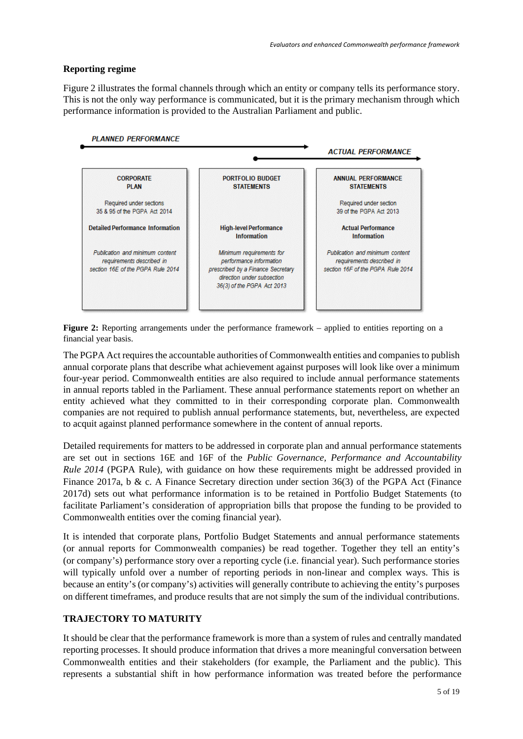#### **Reporting regime**

Figure 2 illustrates the formal channels through which an entity or company tells its performance story. This is not the only way performance is communicated, but it is the primary mechanism through which performance information is provided to the Australian Parliament and public.



**Figure 2:** Reporting arrangements under the performance framework – applied to entities reporting on a financial year basis.

The PGPA Act requires the accountable authorities of Commonwealth entities and companies to publish annual corporate plans that describe what achievement against purposes will look like over a minimum four-year period. Commonwealth entities are also required to include annual performance statements in annual reports tabled in the Parliament. These annual performance statements report on whether an entity achieved what they committed to in their corresponding corporate plan. Commonwealth companies are not required to publish annual performance statements, but, nevertheless, are expected to acquit against planned performance somewhere in the content of annual reports.

Detailed requirements for matters to be addressed in corporate plan and annual performance statements are set out in sections 16E and 16F of the *Public Governance, Performance and Accountability Rule 2014* (PGPA Rule), with guidance on how these requirements might be addressed provided in Finance 2017a, b & c. A Finance Secretary direction under section 36(3) of the PGPA Act (Finance 2017d) sets out what performance information is to be retained in Portfolio Budget Statements (to facilitate Parliament's consideration of appropriation bills that propose the funding to be provided to Commonwealth entities over the coming financial year).

It is intended that corporate plans, Portfolio Budget Statements and annual performance statements (or annual reports for Commonwealth companies) be read together. Together they tell an entity's (or company's) performance story over a reporting cycle (i.e. financial year). Such performance stories will typically unfold over a number of reporting periods in non-linear and complex ways. This is because an entity's (or company's) activities will generally contribute to achieving the entity's purposes on different timeframes, and produce results that are not simply the sum of the individual contributions.

# **TRAJECTORY TO MATURITY**

It should be clear that the performance framework is more than a system of rules and centrally mandated reporting processes. It should produce information that drives a more meaningful conversation between Commonwealth entities and their stakeholders (for example, the Parliament and the public). This represents a substantial shift in how performance information was treated before the performance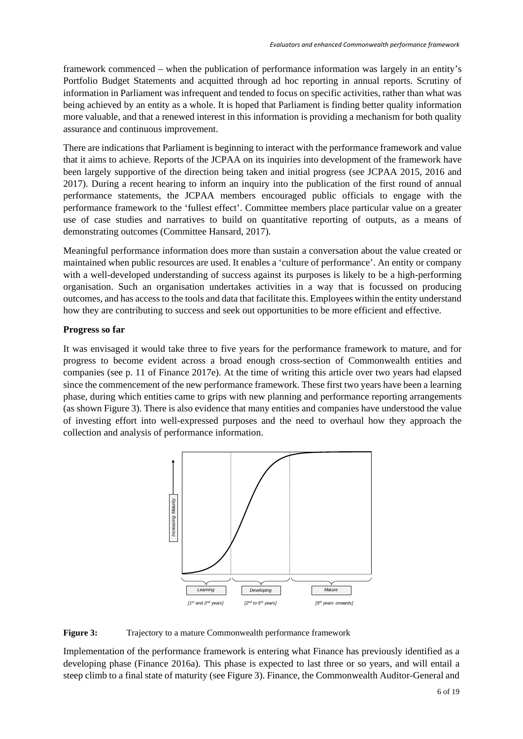framework commenced – when the publication of performance information was largely in an entity's Portfolio Budget Statements and acquitted through ad hoc reporting in annual reports. Scrutiny of information in Parliament was infrequent and tended to focus on specific activities, rather than what was being achieved by an entity as a whole. It is hoped that Parliament is finding better quality information more valuable, and that a renewed interest in this information is providing a mechanism for both quality assurance and continuous improvement.

There are indications that Parliament is beginning to interact with the performance framework and value that it aims to achieve. Reports of the JCPAA on its inquiries into development of the framework have been largely supportive of the direction being taken and initial progress (see JCPAA 2015, 2016 and 2017). During a recent hearing to inform an inquiry into the publication of the first round of annual performance statements, the JCPAA members encouraged public officials to engage with the performance framework to the 'fullest effect'. Committee members place particular value on a greater use of case studies and narratives to build on quantitative reporting of outputs, as a means of demonstrating outcomes (Committee Hansard, 2017).

Meaningful performance information does more than sustain a conversation about the value created or maintained when public resources are used. It enables a 'culture of performance'. An entity or company with a well-developed understanding of success against its purposes is likely to be a high-performing organisation. Such an organisation undertakes activities in a way that is focussed on producing outcomes, and has access to the tools and data that facilitate this. Employees within the entity understand how they are contributing to success and seek out opportunities to be more efficient and effective.

### **Progress so far**

It was envisaged it would take three to five years for the performance framework to mature, and for progress to become evident across a broad enough cross-section of Commonwealth entities and companies (see p. 11 of Finance 2017e). At the time of writing this article over two years had elapsed since the commencement of the new performance framework. These first two years have been a learning phase, during which entities came to grips with new planning and performance reporting arrangements (as shown Figure 3). There is also evidence that many entities and companies have understood the value of investing effort into well-expressed purposes and the need to overhaul how they approach the collection and analysis of performance information.



**Figure 3:** Trajectory to a mature Commonwealth performance framework

Implementation of the performance framework is entering what Finance has previously identified as a developing phase (Finance 2016a). This phase is expected to last three or so years, and will entail a steep climb to a final state of maturity (see Figure 3). Finance, the Commonwealth Auditor-General and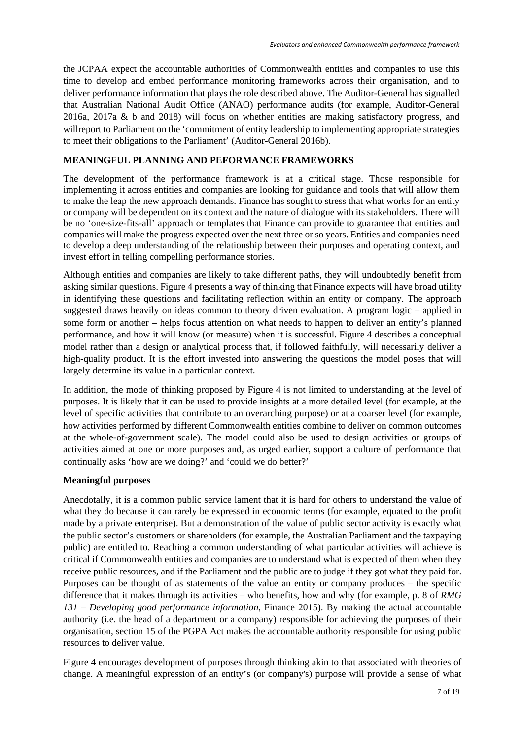the JCPAA expect the accountable authorities of Commonwealth entities and companies to use this time to develop and embed performance monitoring frameworks across their organisation, and to deliver performance information that plays the role described above. The Auditor-General has signalled that Australian National Audit Office (ANAO) performance audits (for example, Auditor-General 2016a, 2017a & b and 2018) will focus on whether entities are making satisfactory progress, and willreport to Parliament on the 'commitment of entity leadership to implementing appropriate strategies to meet their obligations to the Parliament' (Auditor-General 2016b).

# **MEANINGFUL PLANNING AND PEFORMANCE FRAMEWORKS**

The development of the performance framework is at a critical stage. Those responsible for implementing it across entities and companies are looking for guidance and tools that will allow them to make the leap the new approach demands. Finance has sought to stress that what works for an entity or company will be dependent on its context and the nature of dialogue with its stakeholders. There will be no 'one-size-fits-all' approach or templates that Finance can provide to guarantee that entities and companies will make the progress expected over the next three or so years. Entities and companies need to develop a deep understanding of the relationship between their purposes and operating context, and invest effort in telling compelling performance stories.

Although entities and companies are likely to take different paths, they will undoubtedly benefit from asking similar questions. Figure 4 presents a way of thinking that Finance expects will have broad utility in identifying these questions and facilitating reflection within an entity or company. The approach suggested draws heavily on ideas common to theory driven evaluation. A program logic – applied in some form or another – helps focus attention on what needs to happen to deliver an entity's planned performance, and how it will know (or measure) when it is successful. Figure 4 describes a conceptual model rather than a design or analytical process that, if followed faithfully, will necessarily deliver a high-quality product. It is the effort invested into answering the questions the model poses that will largely determine its value in a particular context.

In addition, the mode of thinking proposed by Figure 4 is not limited to understanding at the level of purposes. It is likely that it can be used to provide insights at a more detailed level (for example, at the level of specific activities that contribute to an overarching purpose) or at a coarser level (for example, how activities performed by different Commonwealth entities combine to deliver on common outcomes at the whole-of-government scale). The model could also be used to design activities or groups of activities aimed at one or more purposes and, as urged earlier, support a culture of performance that continually asks 'how are we doing?' and 'could we do better?'

### **Meaningful purposes**

Anecdotally, it is a common public service lament that it is hard for others to understand the value of what they do because it can rarely be expressed in economic terms (for example, equated to the profit made by a private enterprise). But a demonstration of the value of public sector activity is exactly what the public sector's customers or shareholders (for example, the Australian Parliament and the taxpaying public) are entitled to. Reaching a common understanding of what particular activities will achieve is critical if Commonwealth entities and companies are to understand what is expected of them when they receive public resources, and if the Parliament and the public are to judge if they got what they paid for. Purposes can be thought of as statements of the value an entity or company produces – the specific difference that it makes through its activities – who benefits, how and why (for example, p. 8 of *RMG 131 – Developing good performance information*, Finance 2015). By making the actual accountable authority (i.e. the head of a department or a company) responsible for achieving the purposes of their organisation, section 15 of the PGPA Act makes the accountable authority responsible for using public resources to deliver value.

Figure 4 encourages development of purposes through thinking akin to that associated with theories of change. A meaningful expression of an entity's (or company's) purpose will provide a sense of what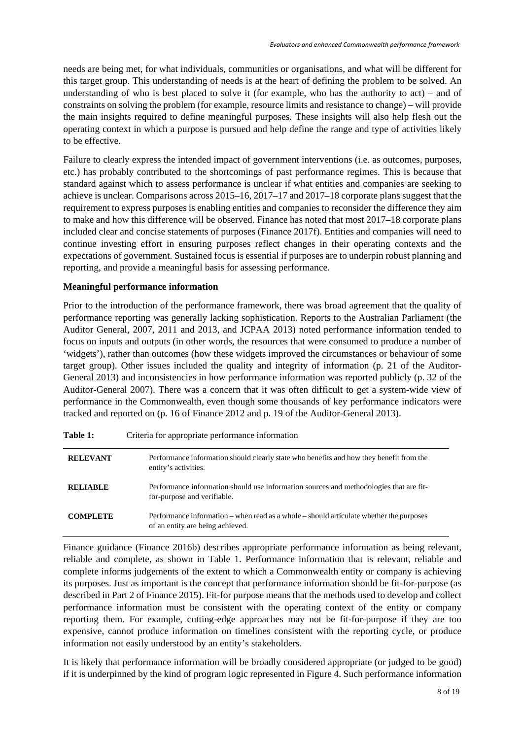needs are being met, for what individuals, communities or organisations, and what will be different for this target group. This understanding of needs is at the heart of defining the problem to be solved. An understanding of who is best placed to solve it (for example, who has the authority to act) – and of constraints on solving the problem (for example, resource limits and resistance to change) – will provide the main insights required to define meaningful purposes. These insights will also help flesh out the operating context in which a purpose is pursued and help define the range and type of activities likely to be effective.

Failure to clearly express the intended impact of government interventions (i.e. as outcomes, purposes, etc.) has probably contributed to the shortcomings of past performance regimes. This is because that standard against which to assess performance is unclear if what entities and companies are seeking to achieve is unclear. Comparisons across 2015–16, 2017–17 and 2017–18 corporate plans suggest that the requirement to express purposes is enabling entities and companies to reconsider the difference they aim to make and how this difference will be observed. Finance has noted that most 2017–18 corporate plans included clear and concise statements of purposes (Finance 2017f). Entities and companies will need to continue investing effort in ensuring purposes reflect changes in their operating contexts and the expectations of government. Sustained focus is essential if purposes are to underpin robust planning and reporting, and provide a meaningful basis for assessing performance.

#### **Meaningful performance information**

Prior to the introduction of the performance framework, there was broad agreement that the quality of performance reporting was generally lacking sophistication. Reports to the Australian Parliament (the Auditor General, 2007, 2011 and 2013, and JCPAA 2013) noted performance information tended to focus on inputs and outputs (in other words, the resources that were consumed to produce a number of 'widgets'), rather than outcomes (how these widgets improved the circumstances or behaviour of some target group). Other issues included the quality and integrity of information (p. 21 of the Auditor-General 2013) and inconsistencies in how performance information was reported publicly (p. 32 of the Auditor-General 2007). There was a concern that it was often difficult to get a system-wide view of performance in the Commonwealth, even though some thousands of key performance indicators were tracked and reported on (p. 16 of Finance 2012 and p. 19 of the Auditor-General 2013).

| Table 1:        | Criteria for appropriate performance information<br>Performance information should clearly state who benefits and how they benefit from the<br>entity's activities. |  |
|-----------------|---------------------------------------------------------------------------------------------------------------------------------------------------------------------|--|
| <b>RELEVANT</b> |                                                                                                                                                                     |  |
| <b>RELIABLE</b> | Performance information should use information sources and methodologies that are fit-<br>for-purpose and verifiable.                                               |  |
| <b>COMPLETE</b> | Performance information – when read as a whole – should articulate whether the purposes<br>of an entity are being achieved.                                         |  |

Finance guidance (Finance 2016b) describes appropriate performance information as being relevant, reliable and complete, as shown in Table 1. Performance information that is relevant, reliable and complete informs judgements of the extent to which a Commonwealth entity or company is achieving its purposes. Just as important is the concept that performance information should be fit-for-purpose (as described in Part 2 of Finance 2015). Fit-for purpose means that the methods used to develop and collect performance information must be consistent with the operating context of the entity or company reporting them. For example, cutting-edge approaches may not be fit-for-purpose if they are too expensive, cannot produce information on timelines consistent with the reporting cycle, or produce information not easily understood by an entity's stakeholders.

It is likely that performance information will be broadly considered appropriate (or judged to be good) if it is underpinned by the kind of program logic represented in Figure 4. Such performance information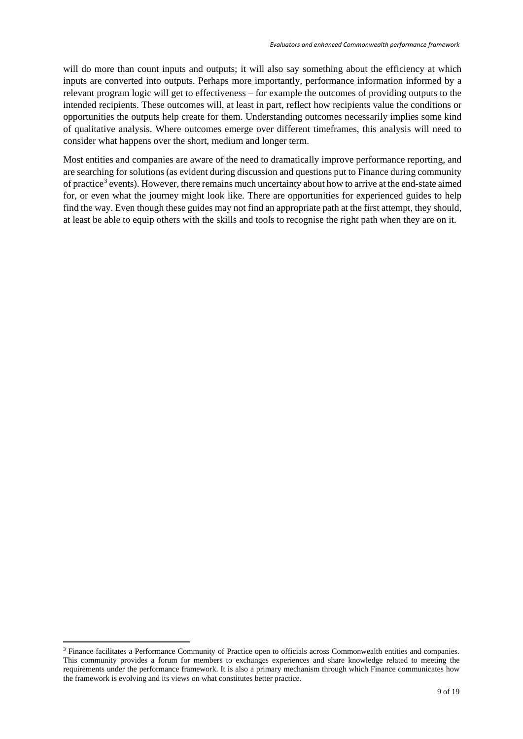will do more than count inputs and outputs; it will also say something about the efficiency at which inputs are converted into outputs. Perhaps more importantly, performance information informed by a relevant program logic will get to effectiveness – for example the outcomes of providing outputs to the intended recipients. These outcomes will, at least in part, reflect how recipients value the conditions or opportunities the outputs help create for them. Understanding outcomes necessarily implies some kind of qualitative analysis. Where outcomes emerge over different timeframes, this analysis will need to consider what happens over the short, medium and longer term.

Most entities and companies are aware of the need to dramatically improve performance reporting, and are searching for solutions (as evident during discussion and questions put to Finance during community of practice<sup>[3](#page-8-0)</sup> events). However, there remains much uncertainty about how to arrive at the end-state aimed for, or even what the journey might look like. There are opportunities for experienced guides to help find the way. Even though these guides may not find an appropriate path at the first attempt, they should, at least be able to equip others with the skills and tools to recognise the right path when they are on it.

 $\overline{\phantom{a}}$ 

<span id="page-8-0"></span><sup>3</sup> Finance facilitates a Performance Community of Practice open to officials across Commonwealth entities and companies. This community provides a forum for members to exchanges experiences and share knowledge related to meeting the requirements under the performance framework. It is also a primary mechanism through which Finance communicates how the framework is evolving and its views on what constitutes better practice.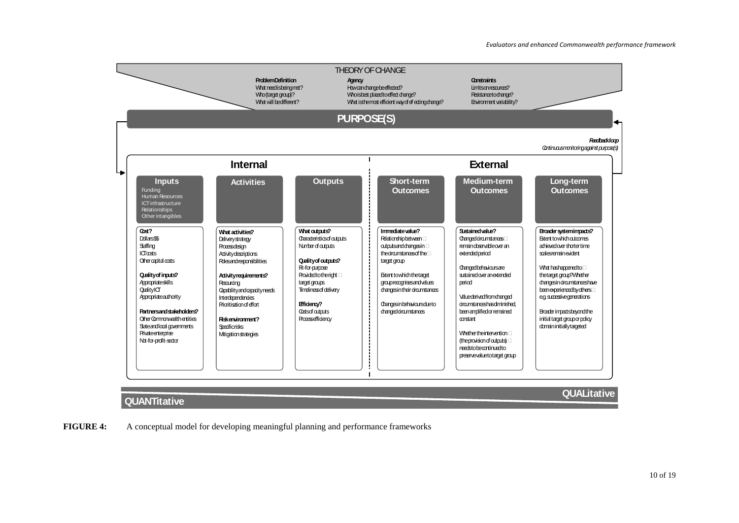

# **QUANTitative**



**FIGURE 4:** A conceptual model for developing meaningful planning and performance frameworks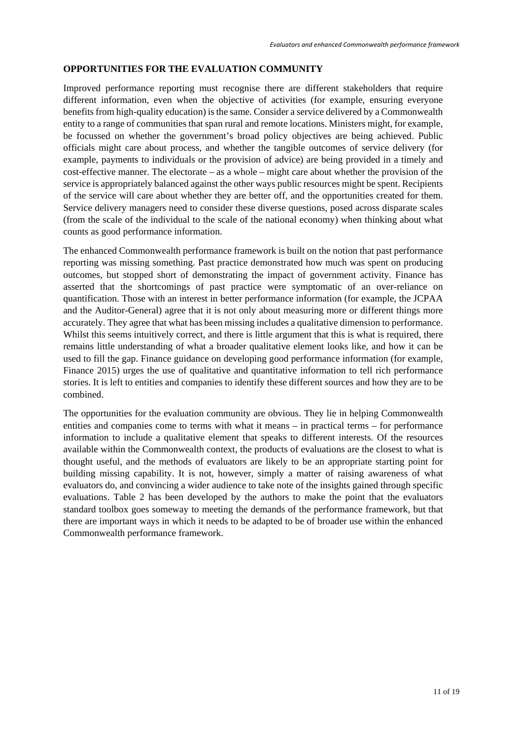# **OPPORTUNITIES FOR THE EVALUATION COMMUNITY**

Improved performance reporting must recognise there are different stakeholders that require different information, even when the objective of activities (for example, ensuring everyone benefits from high-quality education) is the same. Consider a service delivered by a Commonwealth entity to a range of communities that span rural and remote locations. Ministers might, for example, be focussed on whether the government's broad policy objectives are being achieved. Public officials might care about process, and whether the tangible outcomes of service delivery (for example, payments to individuals or the provision of advice) are being provided in a timely and cost-effective manner. The electorate – as a whole – might care about whether the provision of the service is appropriately balanced against the other ways public resources might be spent. Recipients of the service will care about whether they are better off, and the opportunities created for them. Service delivery managers need to consider these diverse questions, posed across disparate scales (from the scale of the individual to the scale of the national economy) when thinking about what counts as good performance information.

The enhanced Commonwealth performance framework is built on the notion that past performance reporting was missing something. Past practice demonstrated how much was spent on producing outcomes, but stopped short of demonstrating the impact of government activity. Finance has asserted that the shortcomings of past practice were symptomatic of an over-reliance on quantification. Those with an interest in better performance information (for example, the JCPAA and the Auditor-General) agree that it is not only about measuring more or different things more accurately. They agree that what has been missing includes a qualitative dimension to performance. Whilst this seems intuitively correct, and there is little argument that this is what is required, there remains little understanding of what a broader qualitative element looks like, and how it can be used to fill the gap. Finance guidance on developing good performance information (for example, Finance 2015) urges the use of qualitative and quantitative information to tell rich performance stories. It is left to entities and companies to identify these different sources and how they are to be combined.

The opportunities for the evaluation community are obvious. They lie in helping Commonwealth entities and companies come to terms with what it means – in practical terms – for performance information to include a qualitative element that speaks to different interests. Of the resources available within the Commonwealth context, the products of evaluations are the closest to what is thought useful, and the methods of evaluators are likely to be an appropriate starting point for building missing capability. It is not, however, simply a matter of raising awareness of what evaluators do, and convincing a wider audience to take note of the insights gained through specific evaluations. Table 2 has been developed by the authors to make the point that the evaluators standard toolbox goes someway to meeting the demands of the performance framework, but that there are important ways in which it needs to be adapted to be of broader use within the enhanced Commonwealth performance framework.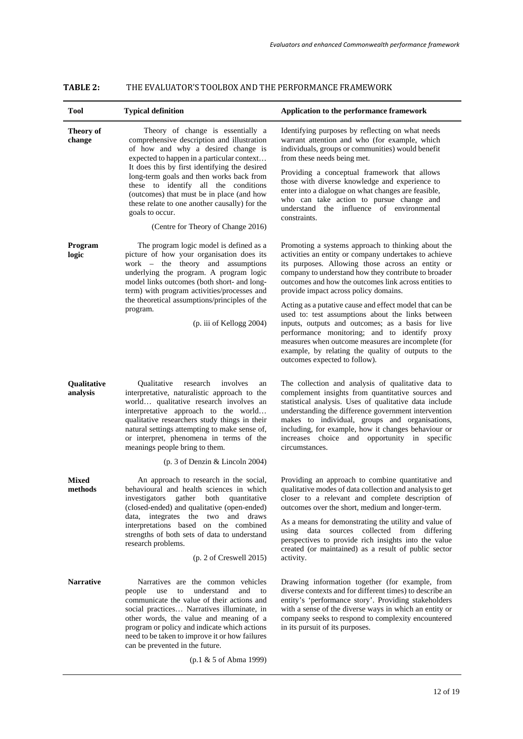| THE EVALUATOR'S TOOLBOX AND THE PERFORMANCE FRAMEWORK |
|-------------------------------------------------------|
|                                                       |

| Tool                                   | <b>Typical definition</b>                                                                                                                                                                                                                                                                                                                                        | Application to the performance framework                                                                                                                                                                                                                                                                                                                                                                                                                                                                                                                                                              |
|----------------------------------------|------------------------------------------------------------------------------------------------------------------------------------------------------------------------------------------------------------------------------------------------------------------------------------------------------------------------------------------------------------------|-------------------------------------------------------------------------------------------------------------------------------------------------------------------------------------------------------------------------------------------------------------------------------------------------------------------------------------------------------------------------------------------------------------------------------------------------------------------------------------------------------------------------------------------------------------------------------------------------------|
| Theory of<br>change<br>goals to occur. | Theory of change is essentially a<br>comprehensive description and illustration<br>of how and why a desired change is<br>expected to happen in a particular context                                                                                                                                                                                              | Identifying purposes by reflecting on what needs<br>warrant attention and who (for example, which<br>individuals, groups or communities) would benefit<br>from these needs being met.                                                                                                                                                                                                                                                                                                                                                                                                                 |
|                                        | It does this by first identifying the desired<br>long-term goals and then works back from<br>these to identify all the conditions<br>(outcomes) that must be in place (and how<br>these relate to one another causally) for the                                                                                                                                  | Providing a conceptual framework that allows<br>those with diverse knowledge and experience to<br>enter into a dialogue on what changes are feasible,<br>who can take action to pursue change and<br>understand the influence of environmental<br>constraints.                                                                                                                                                                                                                                                                                                                                        |
|                                        | (Centre for Theory of Change 2016)                                                                                                                                                                                                                                                                                                                               |                                                                                                                                                                                                                                                                                                                                                                                                                                                                                                                                                                                                       |
| Program<br>logic                       | The program logic model is defined as a<br>picture of how your organisation does its<br>work – the theory and assumptions<br>underlying the program. A program logic<br>model links outcomes (both short- and long-<br>term) with program activities/processes and<br>the theoretical assumptions/principles of the<br>program.<br>(p. iii of Kellogg 2004)      | Promoting a systems approach to thinking about the<br>activities an entity or company undertakes to achieve<br>its purposes. Allowing those across an entity or<br>company to understand how they contribute to broader<br>outcomes and how the outcomes link across entities to<br>provide impact across policy domains.<br>Acting as a putative cause and effect model that can be<br>used to: test assumptions about the links between<br>inputs, outputs and outcomes; as a basis for live<br>performance monitoring; and to identify proxy<br>measures when outcome measures are incomplete (for |
|                                        |                                                                                                                                                                                                                                                                                                                                                                  | example, by relating the quality of outputs to the<br>outcomes expected to follow).                                                                                                                                                                                                                                                                                                                                                                                                                                                                                                                   |
| <b>Qualitative</b><br>analysis         | Qualitative<br>research<br>involves<br>an<br>interpretative, naturalistic approach to the<br>world qualitative research involves an<br>interpretative approach to the world<br>qualitative researchers study things in their<br>natural settings attempting to make sense of,<br>or interpret, phenomena in terms of the<br>meanings people bring to them.       | The collection and analysis of qualitative data to<br>complement insights from quantitative sources and<br>statistical analysis. Uses of qualitative data include<br>understanding the difference government intervention<br>makes to individual, groups and organisations,<br>including, for example, how it changes behaviour or<br>increases choice and opportunity in specific<br>circumstances.                                                                                                                                                                                                  |
|                                        | (p. 3 of Denzin & Lincoln 2004)                                                                                                                                                                                                                                                                                                                                  |                                                                                                                                                                                                                                                                                                                                                                                                                                                                                                                                                                                                       |
| <b>Mixed</b><br>methods                | An approach to research in the social,<br>behavioural and health sciences in which<br>investigators gather both quantitative<br>(closed-ended) and qualitative (open-ended)<br>data, integrates the two and draws<br>interpretations based on the combined<br>strengths of both sets of data to understand<br>research problems.<br>$(p. 2 of C$ reswell $2015)$ | Providing an approach to combine quantitative and<br>qualitative modes of data collection and analysis to get<br>closer to a relevant and complete description of<br>outcomes over the short, medium and longer-term.<br>As a means for demonstrating the utility and value of<br>using data sources collected from differing<br>perspectives to provide rich insights into the value<br>created (or maintained) as a result of public sector<br>activity.                                                                                                                                            |
| <b>Narrative</b>                       | Narratives are the common vehicles<br>understand<br>and<br>people<br>use<br>to<br>to<br>communicate the value of their actions and<br>social practices Narratives illuminate, in<br>other words, the value and meaning of a<br>program or policy and indicate which actions<br>need to be taken to improve it or how failures<br>can be prevented in the future. | Drawing information together (for example, from<br>diverse contexts and for different times) to describe an<br>entity's 'performance story'. Providing stakeholders<br>with a sense of the diverse ways in which an entity or<br>company seeks to respond to complexity encountered<br>in its pursuit of its purposes.                                                                                                                                                                                                                                                                                |

(p.1 & 5 of Abma 1999)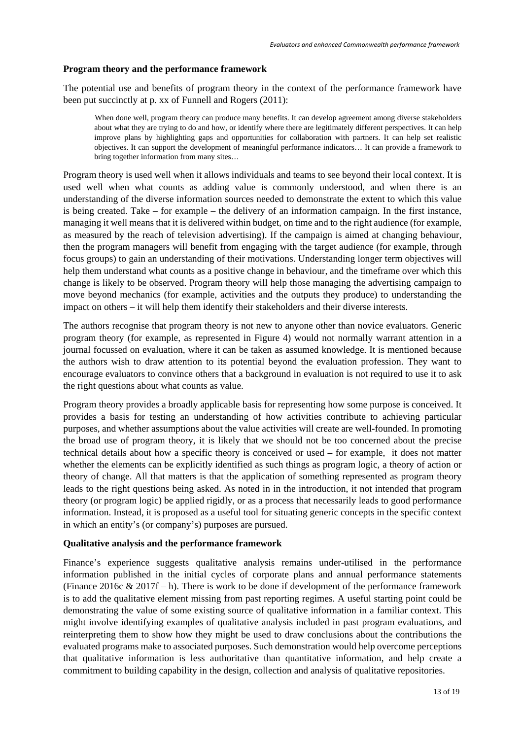#### **Program theory and the performance framework**

The potential use and benefits of program theory in the context of the performance framework have been put succinctly at p. xx of Funnell and Rogers (2011):

When done well, program theory can produce many benefits. It can develop agreement among diverse stakeholders about what they are trying to do and how, or identify where there are legitimately different perspectives. It can help improve plans by highlighting gaps and opportunities for collaboration with partners. It can help set realistic objectives. It can support the development of meaningful performance indicators… It can provide a framework to bring together information from many sites…

Program theory is used well when it allows individuals and teams to see beyond their local context. It is used well when what counts as adding value is commonly understood, and when there is an understanding of the diverse information sources needed to demonstrate the extent to which this value is being created. Take – for example – the delivery of an information campaign. In the first instance, managing it well means that it is delivered within budget, on time and to the right audience (for example, as measured by the reach of television advertising). If the campaign is aimed at changing behaviour, then the program managers will benefit from engaging with the target audience (for example, through focus groups) to gain an understanding of their motivations. Understanding longer term objectives will help them understand what counts as a positive change in behaviour, and the timeframe over which this change is likely to be observed. Program theory will help those managing the advertising campaign to move beyond mechanics (for example, activities and the outputs they produce) to understanding the impact on others – it will help them identify their stakeholders and their diverse interests.

The authors recognise that program theory is not new to anyone other than novice evaluators. Generic program theory (for example, as represented in Figure 4) would not normally warrant attention in a journal focussed on evaluation, where it can be taken as assumed knowledge. It is mentioned because the authors wish to draw attention to its potential beyond the evaluation profession. They want to encourage evaluators to convince others that a background in evaluation is not required to use it to ask the right questions about what counts as value.

Program theory provides a broadly applicable basis for representing how some purpose is conceived. It provides a basis for testing an understanding of how activities contribute to achieving particular purposes, and whether assumptions about the value activities will create are well-founded. In promoting the broad use of program theory, it is likely that we should not be too concerned about the precise technical details about how a specific theory is conceived or used – for example, it does not matter whether the elements can be explicitly identified as such things as program logic, a theory of action or theory of change. All that matters is that the application of something represented as program theory leads to the right questions being asked. As noted in in the introduction, it not intended that program theory (or program logic) be applied rigidly, or as a process that necessarily leads to good performance information. Instead, it is proposed as a useful tool for situating generic concepts in the specific context in which an entity's (or company's) purposes are pursued.

#### **Qualitative analysis and the performance framework**

Finance's experience suggests qualitative analysis remains under-utilised in the performance information published in the initial cycles of corporate plans and annual performance statements (Finance 2016c & 2017f – h). There is work to be done if development of the performance framework is to add the qualitative element missing from past reporting regimes. A useful starting point could be demonstrating the value of some existing source of qualitative information in a familiar context. This might involve identifying examples of qualitative analysis included in past program evaluations, and reinterpreting them to show how they might be used to draw conclusions about the contributions the evaluated programs make to associated purposes. Such demonstration would help overcome perceptions that qualitative information is less authoritative than quantitative information, and help create a commitment to building capability in the design, collection and analysis of qualitative repositories.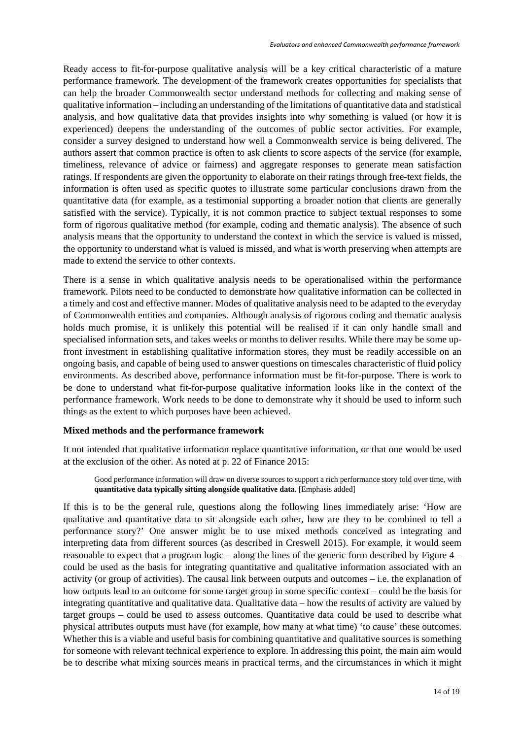Ready access to fit-for-purpose qualitative analysis will be a key critical characteristic of a mature performance framework. The development of the framework creates opportunities for specialists that can help the broader Commonwealth sector understand methods for collecting and making sense of qualitative information – including an understanding of the limitations of quantitative data and statistical analysis, and how qualitative data that provides insights into why something is valued (or how it is experienced) deepens the understanding of the outcomes of public sector activities. For example, consider a survey designed to understand how well a Commonwealth service is being delivered. The authors assert that common practice is often to ask clients to score aspects of the service (for example, timeliness, relevance of advice or fairness) and aggregate responses to generate mean satisfaction ratings. If respondents are given the opportunity to elaborate on their ratings through free-text fields, the information is often used as specific quotes to illustrate some particular conclusions drawn from the quantitative data (for example, as a testimonial supporting a broader notion that clients are generally satisfied with the service). Typically, it is not common practice to subject textual responses to some form of rigorous qualitative method (for example, coding and thematic analysis). The absence of such analysis means that the opportunity to understand the context in which the service is valued is missed, the opportunity to understand what is valued is missed, and what is worth preserving when attempts are made to extend the service to other contexts.

There is a sense in which qualitative analysis needs to be operationalised within the performance framework. Pilots need to be conducted to demonstrate how qualitative information can be collected in a timely and cost and effective manner. Modes of qualitative analysis need to be adapted to the everyday of Commonwealth entities and companies. Although analysis of rigorous coding and thematic analysis holds much promise, it is unlikely this potential will be realised if it can only handle small and specialised information sets, and takes weeks or months to deliver results. While there may be some upfront investment in establishing qualitative information stores, they must be readily accessible on an ongoing basis, and capable of being used to answer questions on timescales characteristic of fluid policy environments. As described above, performance information must be fit-for-purpose. There is work to be done to understand what fit-for-purpose qualitative information looks like in the context of the performance framework. Work needs to be done to demonstrate why it should be used to inform such things as the extent to which purposes have been achieved.

### **Mixed methods and the performance framework**

It not intended that qualitative information replace quantitative information, or that one would be used at the exclusion of the other. As noted at p. 22 of Finance 2015:

Good performance information will draw on diverse sources to support a rich performance story told over time, with **quantitative data typically sitting alongside qualitative data**. [Emphasis added]

If this is to be the general rule, questions along the following lines immediately arise: 'How are qualitative and quantitative data to sit alongside each other, how are they to be combined to tell a performance story?' One answer might be to use mixed methods conceived as integrating and interpreting data from different sources (as described in Creswell 2015). For example, it would seem reasonable to expect that a program logic – along the lines of the generic form described by Figure 4 – could be used as the basis for integrating quantitative and qualitative information associated with an activity (or group of activities). The causal link between outputs and outcomes – i.e. the explanation of how outputs lead to an outcome for some target group in some specific context – could be the basis for integrating quantitative and qualitative data. Qualitative data – how the results of activity are valued by target groups – could be used to assess outcomes. Quantitative data could be used to describe what physical attributes outputs must have (for example, how many at what time) 'to cause' these outcomes. Whether this is a viable and useful basis for combining quantitative and qualitative sources is something for someone with relevant technical experience to explore. In addressing this point, the main aim would be to describe what mixing sources means in practical terms, and the circumstances in which it might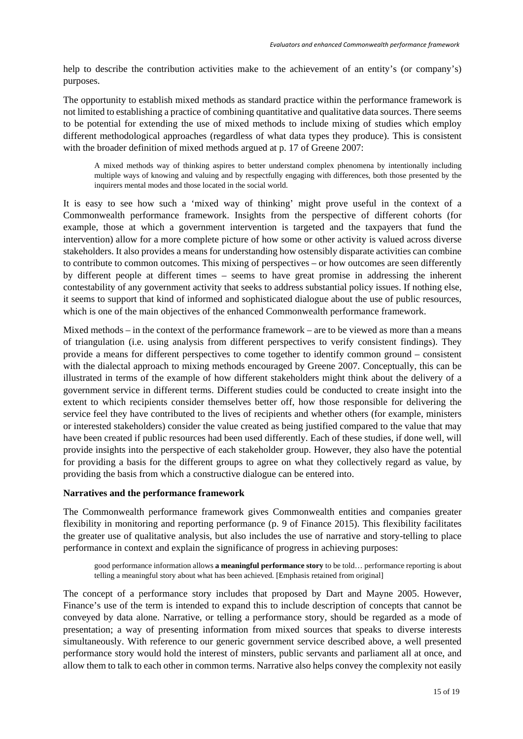help to describe the contribution activities make to the achievement of an entity's (or company's) purposes.

The opportunity to establish mixed methods as standard practice within the performance framework is not limited to establishing a practice of combining quantitative and qualitative data sources. There seems to be potential for extending the use of mixed methods to include mixing of studies which employ different methodological approaches (regardless of what data types they produce). This is consistent with the broader definition of mixed methods argued at p. 17 of Greene 2007:

A mixed methods way of thinking aspires to better understand complex phenomena by intentionally including multiple ways of knowing and valuing and by respectfully engaging with differences, both those presented by the inquirers mental modes and those located in the social world.

It is easy to see how such a 'mixed way of thinking' might prove useful in the context of a Commonwealth performance framework. Insights from the perspective of different cohorts (for example, those at which a government intervention is targeted and the taxpayers that fund the intervention) allow for a more complete picture of how some or other activity is valued across diverse stakeholders. It also provides a means for understanding how ostensibly disparate activities can combine to contribute to common outcomes. This mixing of perspectives – or how outcomes are seen differently by different people at different times – seems to have great promise in addressing the inherent contestability of any government activity that seeks to address substantial policy issues. If nothing else, it seems to support that kind of informed and sophisticated dialogue about the use of public resources, which is one of the main objectives of the enhanced Commonwealth performance framework.

Mixed methods – in the context of the performance framework – are to be viewed as more than a means of triangulation (i.e. using analysis from different perspectives to verify consistent findings). They provide a means for different perspectives to come together to identify common ground – consistent with the dialectal approach to mixing methods encouraged by Greene 2007. Conceptually, this can be illustrated in terms of the example of how different stakeholders might think about the delivery of a government service in different terms. Different studies could be conducted to create insight into the extent to which recipients consider themselves better off, how those responsible for delivering the service feel they have contributed to the lives of recipients and whether others (for example, ministers or interested stakeholders) consider the value created as being justified compared to the value that may have been created if public resources had been used differently. Each of these studies, if done well, will provide insights into the perspective of each stakeholder group. However, they also have the potential for providing a basis for the different groups to agree on what they collectively regard as value, by providing the basis from which a constructive dialogue can be entered into.

### **Narratives and the performance framework**

The Commonwealth performance framework gives Commonwealth entities and companies greater flexibility in monitoring and reporting performance (p. 9 of Finance 2015). This flexibility facilitates the greater use of qualitative analysis, but also includes the use of narrative and story-telling to place performance in context and explain the significance of progress in achieving purposes:

good performance information allows **a meaningful performance story** to be told… performance reporting is about telling a meaningful story about what has been achieved. [Emphasis retained from original]

The concept of a performance story includes that proposed by Dart and Mayne 2005. However, Finance's use of the term is intended to expand this to include description of concepts that cannot be conveyed by data alone. Narrative, or telling a performance story, should be regarded as a mode of presentation; a way of presenting information from mixed sources that speaks to diverse interests simultaneously. With reference to our generic government service described above, a well presented performance story would hold the interest of minsters, public servants and parliament all at once, and allow them to talk to each other in common terms. Narrative also helps convey the complexity not easily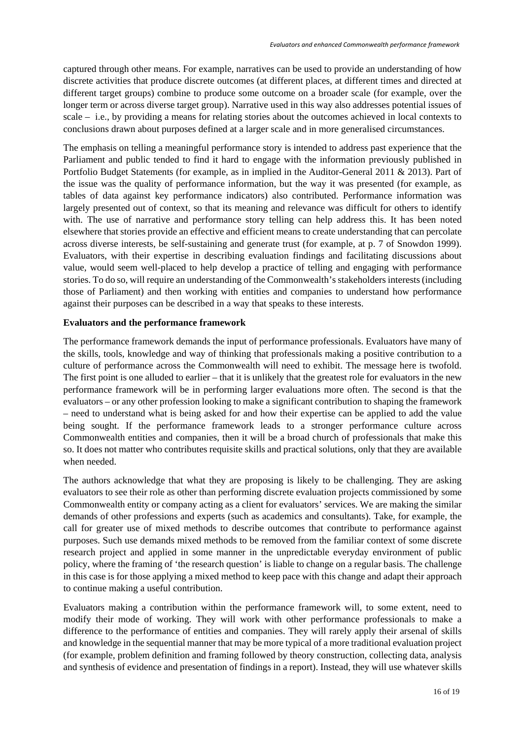captured through other means. For example, narratives can be used to provide an understanding of how discrete activities that produce discrete outcomes (at different places, at different times and directed at different target groups) combine to produce some outcome on a broader scale (for example, over the longer term or across diverse target group). Narrative used in this way also addresses potential issues of scale – i.e., by providing a means for relating stories about the outcomes achieved in local contexts to conclusions drawn about purposes defined at a larger scale and in more generalised circumstances.

The emphasis on telling a meaningful performance story is intended to address past experience that the Parliament and public tended to find it hard to engage with the information previously published in Portfolio Budget Statements (for example, as in implied in the Auditor-General 2011 & 2013). Part of the issue was the quality of performance information, but the way it was presented (for example, as tables of data against key performance indicators) also contributed. Performance information was largely presented out of context, so that its meaning and relevance was difficult for others to identify with. The use of narrative and performance story telling can help address this. It has been noted elsewhere that stories provide an effective and efficient means to create understanding that can percolate across diverse interests, be self-sustaining and generate trust (for example, at p. 7 of Snowdon 1999). Evaluators, with their expertise in describing evaluation findings and facilitating discussions about value, would seem well-placed to help develop a practice of telling and engaging with performance stories. To do so, will require an understanding of the Commonwealth's stakeholders interests (including those of Parliament) and then working with entities and companies to understand how performance against their purposes can be described in a way that speaks to these interests.

### **Evaluators and the performance framework**

The performance framework demands the input of performance professionals. Evaluators have many of the skills, tools, knowledge and way of thinking that professionals making a positive contribution to a culture of performance across the Commonwealth will need to exhibit. The message here is twofold. The first point is one alluded to earlier – that it is unlikely that the greatest role for evaluators in the new performance framework will be in performing larger evaluations more often. The second is that the evaluators – or any other profession looking to make a significant contribution to shaping the framework – need to understand what is being asked for and how their expertise can be applied to add the value being sought. If the performance framework leads to a stronger performance culture across Commonwealth entities and companies, then it will be a broad church of professionals that make this so. It does not matter who contributes requisite skills and practical solutions, only that they are available when needed.

The authors acknowledge that what they are proposing is likely to be challenging. They are asking evaluators to see their role as other than performing discrete evaluation projects commissioned by some Commonwealth entity or company acting as a client for evaluators' services. We are making the similar demands of other professions and experts (such as academics and consultants). Take, for example, the call for greater use of mixed methods to describe outcomes that contribute to performance against purposes. Such use demands mixed methods to be removed from the familiar context of some discrete research project and applied in some manner in the unpredictable everyday environment of public policy, where the framing of 'the research question' is liable to change on a regular basis. The challenge in this case is for those applying a mixed method to keep pace with this change and adapt their approach to continue making a useful contribution.

Evaluators making a contribution within the performance framework will, to some extent, need to modify their mode of working. They will work with other performance professionals to make a difference to the performance of entities and companies. They will rarely apply their arsenal of skills and knowledge in the sequential manner that may be more typical of a more traditional evaluation project (for example, problem definition and framing followed by theory construction, collecting data, analysis and synthesis of evidence and presentation of findings in a report). Instead, they will use whatever skills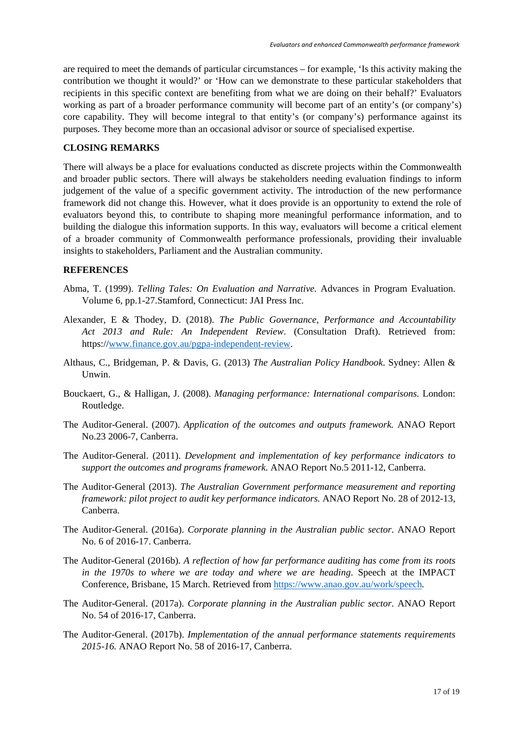are required to meet the demands of particular circumstances – for example, 'Is this activity making the contribution we thought it would?' or 'How can we demonstrate to these particular stakeholders that recipients in this specific context are benefiting from what we are doing on their behalf?' Evaluators working as part of a broader performance community will become part of an entity's (or company's) core capability. They will become integral to that entity's (or company's) performance against its purposes. They become more than an occasional advisor or source of specialised expertise.

### **CLOSING REMARKS**

There will always be a place for evaluations conducted as discrete projects within the Commonwealth and broader public sectors. There will always be stakeholders needing evaluation findings to inform judgement of the value of a specific government activity. The introduction of the new performance framework did not change this. However, what it does provide is an opportunity to extend the role of evaluators beyond this, to contribute to shaping more meaningful performance information, and to building the dialogue this information supports. In this way, evaluators will become a critical element of a broader community of Commonwealth performance professionals, providing their invaluable insights to stakeholders, Parliament and the Australian community.

# **REFERENCES**

- Abma, T. (1999). *Telling Tales: On Evaluation and Narrative.* Advances in Program Evaluation. Volume 6, pp.1-27.Stamford, Connecticut: JAI Press Inc.
- Alexander, E & Thodey, D. (2018). *The Public Governance, Performance and Accountability Act 2013 and Rule: An Independent Review*. (Consultation Draft). Retrieved from: https:/[/www.finance.gov.au/pgpa-independent-review.](http://www.finance.gov.au/pgpa-independent-review)
- Althaus, C., Bridgeman, P. & Davis, G. (2013) *The Australian Policy Handbook*. Sydney: Allen & Unwin.
- Bouckaert, G., & Halligan, J. (2008). *Managing performance: International comparisons.* London: Routledge.
- The Auditor-General. (2007). *Application of the outcomes and outputs framework.* ANAO Report No.23 2006-7, Canberra.
- The Auditor-General. (2011). *Development and implementation of key performance indicators to support the outcomes and programs framework*. ANAO Report No.5 2011-12, Canberra.
- The Auditor-General (2013). *The Australian Government performance measurement and reporting framework: pilot project to audit key performance indicators.* ANAO Report No. 28 of 2012-13, Canberra.
- The Auditor-General. (2016a). *Corporate planning in the Australian public sector*. ANAO Report No. 6 of 2016-17. Canberra.
- The Auditor-General (2016b)*. A reflection of how far performance auditing has come from its roots in the 1970s to where we are today and where we are heading*. Speech at the IMPACT Conference, Brisbane, 15 March. Retrieved from<https://www.anao.gov.au/work/speech>*.*
- The Auditor-General. (2017a). *Corporate planning in the Australian public sector*. ANAO Report No. 54 of 2016-17, Canberra.
- The Auditor-General. (2017b). *Implementation of the annual performance statements requirements 2015-16.* ANAO Report No. 58 of 2016-17, Canberra.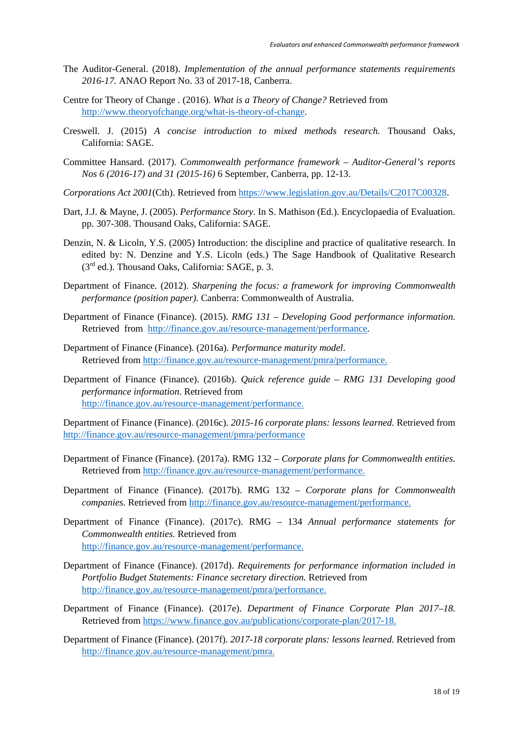- The Auditor-General. (2018). *Implementation of the annual performance statements requirements 2016-17.* ANAO Report No. 33 of 2017-18, Canberra.
- Centre for Theory of Change . (2016). *What is a Theory of Change?* Retrieved from [http://www.theoryofchange.org/what-is-theory-of-change.](http://www.theoryofchange.org/what-is-theory-of-change)
- Creswell. J. (2015) *A concise introduction to mixed methods research.* Thousand Oaks, California: SAGE.
- Committee Hansard. (2017). *Commonwealth performance framework – Auditor-General's reports Nos 6 (2016-17) and 31 (2015-16)* 6 September, Canberra, pp. 12-13.
- *Corporations Act 2001*(Cth). Retrieved from [https://www.legislation.gov.au/Details/C2017C00328.](https://www.legislation.gov.au/Details/C2017C00328)
- Dart, J.J. & Mayne, J. (2005). *Performance Story.* In S. Mathison (Ed.). Encyclopaedia of Evaluation. pp. 307-308. Thousand Oaks, California: SAGE.
- Denzin, N. & Licoln, Y.S. (2005) Introduction: the discipline and practice of qualitative research. In edited by: N. Denzine and Y.S. Licoln (eds.) The Sage Handbook of Qualitative Research  $(3<sup>rd</sup>$  ed.). Thousand Oaks, California: SAGE, p. 3.
- Department of Finance. (2012). *Sharpening the focus: a framework for improving Commonwealth performance (position paper).* Canberra: Commonwealth of Australia.
- Department of Finance (Finance). (2015). *RMG 131 – Developing Good performance information.*  Retrieved from [http://finance.gov.au/resource-management/performance.](http://finance.gov.au/resource-management/performance)
- Department of Finance (Finance). (2016a). *Performance maturity model*. Retrieved from<http://finance.gov.au/resource-management/pmra/performance>.
- Department of Finance (Finance). (2016b). *Quick reference guide – RMG 131 Developing good performance information*. Retrieved from [http://finance.gov.au/resource-management/performance.](http://finance.gov.au/resource-management/performance)

Department of Finance (Finance). (2016c). *2015-16 corporate plans: lessons learned.* Retrieved from <http://finance.gov.au/resource-management/pmra/performance>

- Department of Finance (Finance). (2017a). RMG 132 *Corporate plans for Commonwealth entities.* Retrieved from <http://finance.gov.au/resource-management/performance>.
- Department of Finance (Finance). (2017b). RMG 132 *Corporate plans for Commonwealth companies.* Retrieved from <http://finance.gov.au/resource-management/performance>.
- Department of Finance (Finance). (2017c). RMG 134 *Annual performance statements for Commonwealth entities.* Retrieved from <http://finance.gov.au/resource-management/performance>.
- Department of Finance (Finance). (2017d). *Requirements for performance information included in Portfolio Budget Statements: Finance secretary direction.* Retrieved from [http://finance.gov.au/resource-management/pmra/performance.](http://finance.gov.au/resource-management/pmra/performance)
- Department of Finance (Finance). (2017e). *Department of Finance Corporate Plan 2017–18.* Retrieved from https://www.finance.gov.au/publications/corporate-plan/2017-18.
- Department of Finance (Finance). (2017f). *2017-18 corporate plans: lessons learned.* Retrieved from [http://finance.gov.au/resource-management/pmra.](http://finance.gov.au/resource-management/pmra)